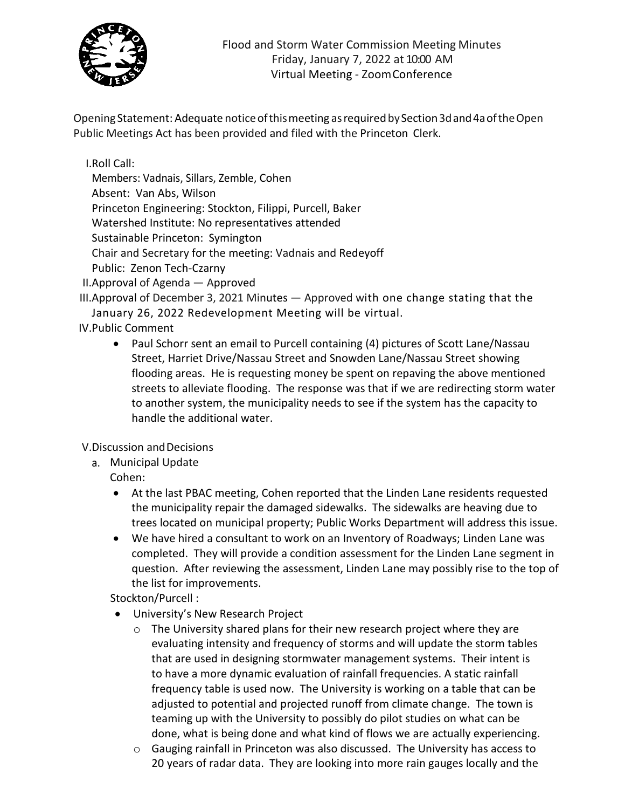

Opening Statement: Adequate noticeofthismeeting asrequiredbySection3dand4aoftheOpen Public Meetings Act has been provided and filed with the Princeton Clerk.

I.Roll Call:

Members: Vadnais, Sillars, Zemble, Cohen Absent: Van Abs, Wilson Princeton Engineering: Stockton, Filippi, Purcell, Baker Watershed Institute: No representatives attended Sustainable Princeton: Symington Chair and Secretary for the meeting: Vadnais and Redeyoff Public: Zenon Tech-Czarny

II.Approval of Agenda — Approved

III.Approval of December 3, 2021 Minutes — Approved with one change stating that the January 26, 2022 Redevelopment Meeting will be virtual.

## IV.Public Comment

• Paul Schorr sent an email to Purcell containing (4) pictures of Scott Lane/Nassau Street, Harriet Drive/Nassau Street and Snowden Lane/Nassau Street showing flooding areas. He is requesting money be spent on repaving the above mentioned streets to alleviate flooding. The response was that if we are redirecting storm water to another system, the municipality needs to see if the system has the capacity to handle the additional water.

V.Discussion andDecisions

a. Municipal Update

Cohen:

- At the last PBAC meeting, Cohen reported that the Linden Lane residents requested the municipality repair the damaged sidewalks. The sidewalks are heaving due to trees located on municipal property; Public Works Department will address this issue.
- We have hired a consultant to work on an Inventory of Roadways; Linden Lane was completed. They will provide a condition assessment for the Linden Lane segment in question. After reviewing the assessment, Linden Lane may possibly rise to the top of the list for improvements.

Stockton/Purcell :

- University's New Research Project
	- o The University shared plans for their new research project where they are evaluating intensity and frequency of storms and will update the storm tables that are used in designing stormwater management systems. Their intent is to have a more dynamic evaluation of rainfall frequencies. A static rainfall frequency table is used now. The University is working on a table that can be adjusted to potential and projected runoff from climate change. The town is teaming up with the University to possibly do pilot studies on what can be done, what is being done and what kind of flows we are actually experiencing.
	- o Gauging rainfall in Princeton was also discussed. The University has access to 20 years of radar data. They are looking into more rain gauges locally and the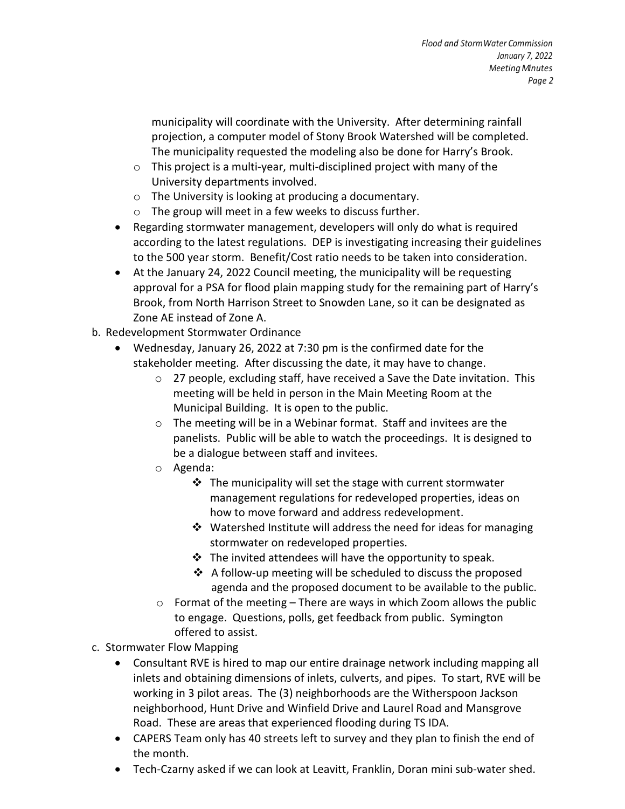municipality will coordinate with the University. After determining rainfall projection, a computer model of Stony Brook Watershed will be completed. The municipality requested the modeling also be done for Harry's Brook.

- $\circ$  This project is a multi-year, multi-disciplined project with many of the University departments involved.
- o The University is looking at producing a documentary.
- o The group will meet in a few weeks to discuss further.
- Regarding stormwater management, developers will only do what is required according to the latest regulations. DEP is investigating increasing their guidelines to the 500 year storm. Benefit/Cost ratio needs to be taken into consideration.
- At the January 24, 2022 Council meeting, the municipality will be requesting approval for a PSA for flood plain mapping study for the remaining part of Harry's Brook, from North Harrison Street to Snowden Lane, so it can be designated as Zone AE instead of Zone A.
- b. Redevelopment Stormwater Ordinance
	- Wednesday, January 26, 2022 at 7:30 pm is the confirmed date for the stakeholder meeting. After discussing the date, it may have to change.
		- o 27 people, excluding staff, have received a Save the Date invitation. This meeting will be held in person in the Main Meeting Room at the Municipal Building. It is open to the public.
		- o The meeting will be in a Webinar format. Staff and invitees are the panelists. Public will be able to watch the proceedings. It is designed to be a dialogue between staff and invitees.
		- o Agenda:
			- $\cdot$  The municipality will set the stage with current stormwater management regulations for redeveloped properties, ideas on how to move forward and address redevelopment.
			- $\cdot$  Watershed Institute will address the need for ideas for managing stormwater on redeveloped properties.
			- $\div$  The invited attendees will have the opportunity to speak.
			- $\triangleleft$  A follow-up meeting will be scheduled to discuss the proposed agenda and the proposed document to be available to the public.
		- $\circ$  Format of the meeting There are ways in which Zoom allows the public to engage. Questions, polls, get feedback from public. Symington offered to assist.
- c. Stormwater Flow Mapping
	- Consultant RVE is hired to map our entire drainage network including mapping all inlets and obtaining dimensions of inlets, culverts, and pipes. To start, RVE will be working in 3 pilot areas. The (3) neighborhoods are the Witherspoon Jackson neighborhood, Hunt Drive and Winfield Drive and Laurel Road and Mansgrove Road. These are areas that experienced flooding during TS IDA.
	- CAPERS Team only has 40 streets left to survey and they plan to finish the end of the month.
	- Tech-Czarny asked if we can look at Leavitt, Franklin, Doran mini sub-water shed.